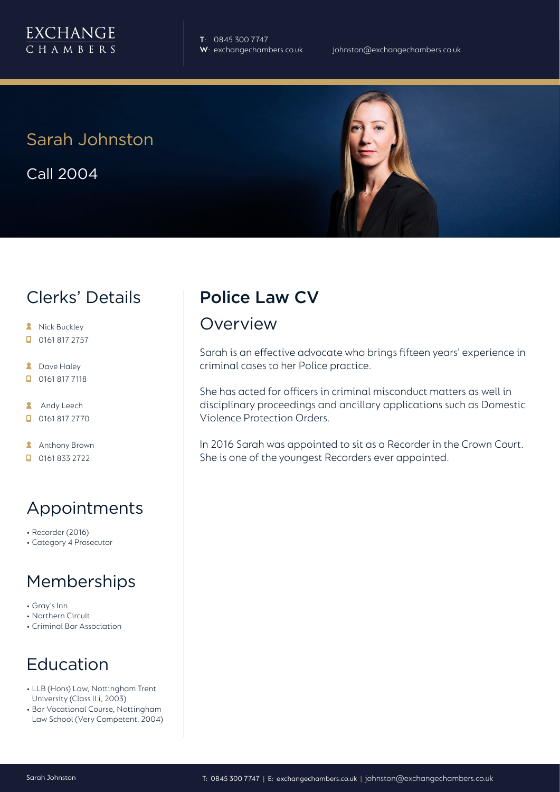

**T**: 0845 300 7747

#### Sarah Johnston

Call 2004



#### Clerks' Details

- **A** Nick Buckley  $\Box$  0161 817 2757
- **2** Dave Haley
- $\Box$  0161 817 7118
- **Andy Leech** 0161 817 2770
- **Anthony Brown**
- $\Box$  0161 833 2722

## Appointments

- Recorder (2016)
- Category 4 Prosecutor

## Memberships

- Gray's Inn
- Northern Circuit
- Criminal Bar Association

## Education

- LLB (Hons) Law, Nottingham Trent University (Class II.i, 2003)
- Bar Vocational Course, Nottingham Law School (Very Competent, 2004)

# Police Law CV

#### Overview

Sarah is an effective advocate who brings fifteen years' experience in criminal cases to her Police practice.

She has acted for officers in criminal misconduct matters as well in disciplinary proceedings and ancillary applications such as Domestic Violence Protection Orders.

In 2016 Sarah was appointed to sit as a Recorder in the Crown Court. She is one of the youngest Recorders ever appointed.